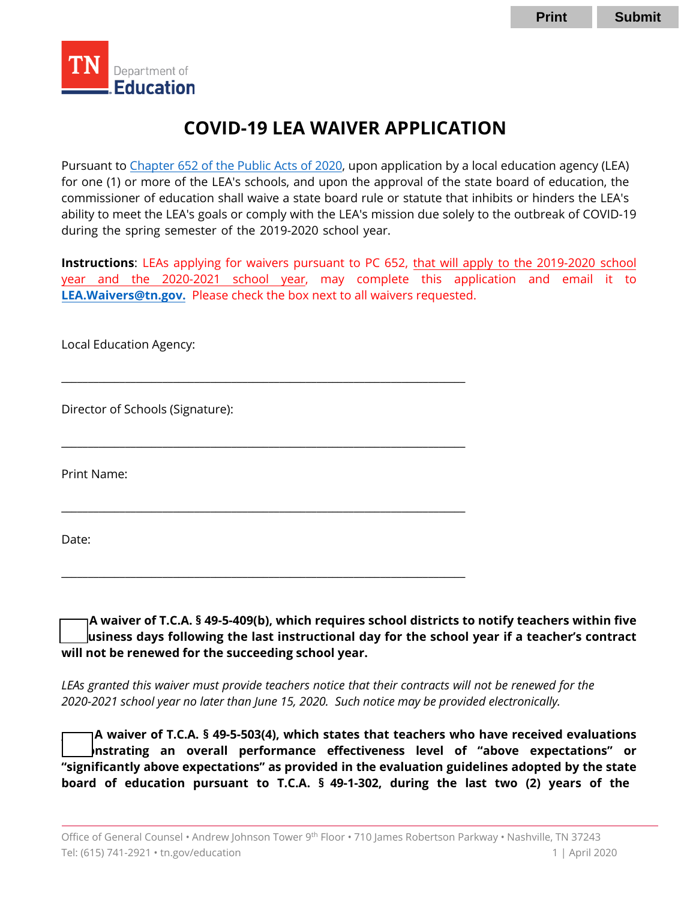

# **COVID-19 LEA WAIVER APPLICATION**

Pursuant t[o Chapter 652 of the Public Acts of 2020,](https://publications.tnsosfiles.com/acts/111/pub/pc0652.pdf) upon application by a local education agency (LEA) for one (1) or more of the LEA's schools, and upon the approval of the state board of education, the commissioner of education shall waive a state board rule or statute that inhibits or hinders the LEA's ability to meet the LEA's goals or comply with the LEA's mission due solely to the outbreak of COVID-19 during the spring semester of the 2019-2020 school year.

**Instructions**: LEAs applying for waivers pursuant to PC 652, that will apply to the 2019-2020 school year and the 2020-2021 school year, may complete this application and email it to **[LEA.Waivers@tn.gov](mailto:LEA.Waivers@tn.gov).** Please check the box next to all waivers requested.

\_\_\_\_\_\_\_\_\_\_\_\_\_\_\_\_\_\_\_\_\_\_\_\_\_\_\_\_\_\_\_\_\_\_\_\_\_\_\_\_\_\_\_\_\_\_\_\_\_\_\_\_\_\_\_\_\_\_\_\_\_\_\_\_\_\_\_\_\_\_\_\_\_\_\_\_

\_\_\_\_\_\_\_\_\_\_\_\_\_\_\_\_\_\_\_\_\_\_\_\_\_\_\_\_\_\_\_\_\_\_\_\_\_\_\_\_\_\_\_\_\_\_\_\_\_\_\_\_\_\_\_\_\_\_\_\_\_\_\_\_\_\_\_\_\_\_\_\_\_\_\_\_

\_\_\_\_\_\_\_\_\_\_\_\_\_\_\_\_\_\_\_\_\_\_\_\_\_\_\_\_\_\_\_\_\_\_\_\_\_\_\_\_\_\_\_\_\_\_\_\_\_\_\_\_\_\_\_\_\_\_\_\_\_\_\_\_\_\_\_\_\_\_\_\_\_\_\_\_

\_\_\_\_\_\_\_\_\_\_\_\_\_\_\_\_\_\_\_\_\_\_\_\_\_\_\_\_\_\_\_\_\_\_\_\_\_\_\_\_\_\_\_\_\_\_\_\_\_\_\_\_\_\_\_\_\_\_\_\_\_\_\_\_\_\_\_\_\_\_\_\_\_\_\_\_

Local Education Agency:

Director of Schools (Signature):

Print Name:

Date:

**\_\_\_\_\_ A waiver of T.C.A. § 49-5-409(b), which requires school districts to notify teachers within five (5) business days following the last instructional day for the school year if a teacher's contract will not be renewed for the succeeding school year.**

*LEAs granted this waiver must provide teachers notice that their contracts will not be renewed for the 2020-2021 school year no later than June 15, 2020. Such notice may be provided electronically.* 

**\_\_\_\_\_\_ A waiver of T.C.A. § 49-5-503(4), which states that teachers who have received evaluations demonstrating an overall performance effectiveness level of "above expectations" or "significantly above expectations" as provided in the evaluation guidelines adopted by the state board of education pursuant to T.C.A. § 49-1-302, during the last two (2) years of the**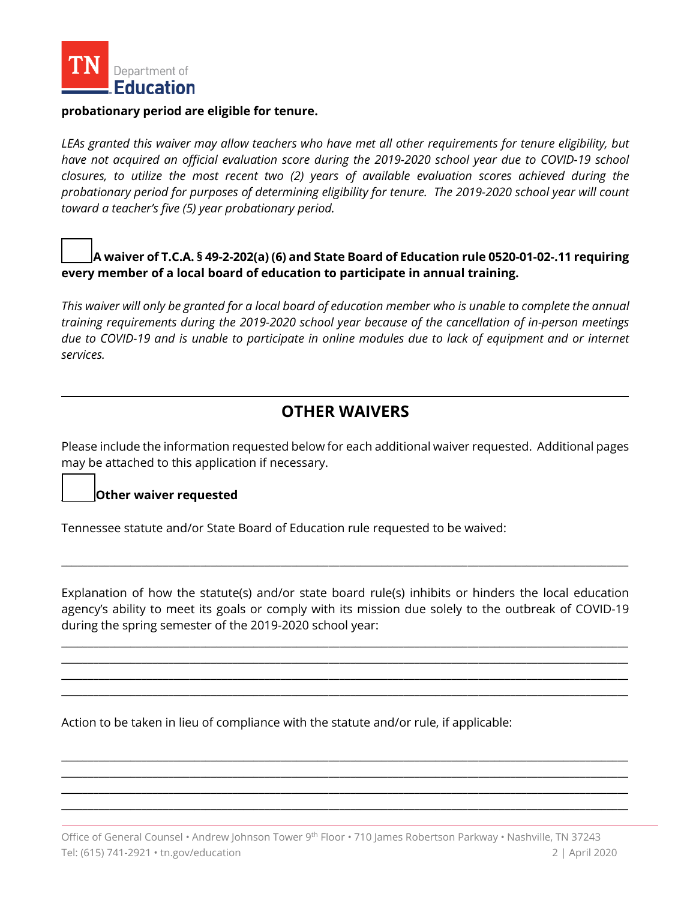

#### **probationary period are eligible for tenure.**

*LEAs granted this waiver may allow teachers who have met all other requirements for tenure eligibility, but have not acquired an official evaluation score during the 2019-2020 school year due to COVID-19 school closures, to utilize the most recent two (2) years of available evaluation scores achieved during the probationary period for purposes of determining eligibility for tenure. The 2019-2020 school year will count toward a teacher's five (5) year probationary period.*

**\_\_\_\_\_\_ A waiver of T.C.A. § 49-2-202(a) (6) and State Board of Education rule 0520-01-02-.11 requiring every member of a local board of education to participate in annual training.**

*This waiver will only be granted for a local board of education member who is unable to complete the annual training requirements during the 2019-2020 school year because of the cancellation of in-person meetings*  due to COVID-19 and is unable to participate in online modules due to lack of equipment and or internet *services.*

## **OTHER WAIVERS**

Please include the information requested below for each additional waiver requested. Additional pages may be attached to this application if necessary.

#### **\_\_\_\_\_\_\_Other waiver requested**

Tennessee statute and/or State Board of Education rule requested to be waived:

Explanation of how the statute(s) and/or state board rule(s) inhibits or hinders the local education agency's ability to meet its goals or comply with its mission due solely to the outbreak of COVID-19 during the spring semester of the 2019-2020 school year:

\_\_\_\_\_\_\_\_\_\_\_\_\_\_\_\_\_\_\_\_\_\_\_\_\_\_\_\_\_\_\_\_\_\_\_\_\_\_\_\_\_\_\_\_\_\_\_\_\_\_\_\_\_\_\_\_\_\_\_\_\_\_\_\_\_\_\_\_\_\_\_\_\_\_\_\_\_\_\_\_\_\_\_\_\_\_\_\_\_\_\_\_\_\_\_\_\_\_\_\_\_\_\_\_\_\_ \_\_\_\_\_\_\_\_\_\_\_\_\_\_\_\_\_\_\_\_\_\_\_\_\_\_\_\_\_\_\_\_\_\_\_\_\_\_\_\_\_\_\_\_\_\_\_\_\_\_\_\_\_\_\_\_\_\_\_\_\_\_\_\_\_\_\_\_\_\_\_\_\_\_\_\_\_\_\_\_\_\_\_\_\_\_\_\_\_\_\_\_\_\_\_\_\_\_\_\_\_\_\_\_\_\_ \_\_\_\_\_\_\_\_\_\_\_\_\_\_\_\_\_\_\_\_\_\_\_\_\_\_\_\_\_\_\_\_\_\_\_\_\_\_\_\_\_\_\_\_\_\_\_\_\_\_\_\_\_\_\_\_\_\_\_\_\_\_\_\_\_\_\_\_\_\_\_\_\_\_\_\_\_\_\_\_\_\_\_\_\_\_\_\_\_\_\_\_\_\_\_\_\_\_\_\_\_\_\_\_\_\_ \_\_\_\_\_\_\_\_\_\_\_\_\_\_\_\_\_\_\_\_\_\_\_\_\_\_\_\_\_\_\_\_\_\_\_\_\_\_\_\_\_\_\_\_\_\_\_\_\_\_\_\_\_\_\_\_\_\_\_\_\_\_\_\_\_\_\_\_\_\_\_\_\_\_\_\_\_\_\_\_\_\_\_\_\_\_\_\_\_\_\_\_\_\_\_\_\_\_\_\_\_\_\_\_\_\_

\_\_\_\_\_\_\_\_\_\_\_\_\_\_\_\_\_\_\_\_\_\_\_\_\_\_\_\_\_\_\_\_\_\_\_\_\_\_\_\_\_\_\_\_\_\_\_\_\_\_\_\_\_\_\_\_\_\_\_\_\_\_\_\_\_\_\_\_\_\_\_\_\_\_\_\_\_\_\_\_\_\_\_\_\_\_\_\_\_\_\_\_\_\_\_\_\_\_\_\_\_\_\_\_\_\_

Action to be taken in lieu of compliance with the statute and/or rule, if applicable:

\_\_\_\_\_\_\_\_\_\_\_\_\_\_\_\_\_\_\_\_\_\_\_\_\_\_\_\_\_\_\_\_\_\_\_\_\_\_\_\_\_\_\_\_\_\_\_\_\_\_\_\_\_\_\_\_\_\_\_\_\_\_\_\_\_\_\_\_\_\_\_\_\_\_\_\_\_\_\_\_\_\_\_\_\_\_\_\_\_\_\_\_\_\_\_\_\_\_\_\_\_\_\_\_\_\_ \_\_\_\_\_\_\_\_\_\_\_\_\_\_\_\_\_\_\_\_\_\_\_\_\_\_\_\_\_\_\_\_\_\_\_\_\_\_\_\_\_\_\_\_\_\_\_\_\_\_\_\_\_\_\_\_\_\_\_\_\_\_\_\_\_\_\_\_\_\_\_\_\_\_\_\_\_\_\_\_\_\_\_\_\_\_\_\_\_\_\_\_\_\_\_\_\_\_\_\_\_\_\_\_\_\_ \_\_\_\_\_\_\_\_\_\_\_\_\_\_\_\_\_\_\_\_\_\_\_\_\_\_\_\_\_\_\_\_\_\_\_\_\_\_\_\_\_\_\_\_\_\_\_\_\_\_\_\_\_\_\_\_\_\_\_\_\_\_\_\_\_\_\_\_\_\_\_\_\_\_\_\_\_\_\_\_\_\_\_\_\_\_\_\_\_\_\_\_\_\_\_\_\_\_\_\_\_\_\_\_\_\_ \_\_\_\_\_\_\_\_\_\_\_\_\_\_\_\_\_\_\_\_\_\_\_\_\_\_\_\_\_\_\_\_\_\_\_\_\_\_\_\_\_\_\_\_\_\_\_\_\_\_\_\_\_\_\_\_\_\_\_\_\_\_\_\_\_\_\_\_\_\_\_\_\_\_\_\_\_\_\_\_\_\_\_\_\_\_\_\_\_\_\_\_\_\_\_\_\_\_\_\_\_\_\_\_\_\_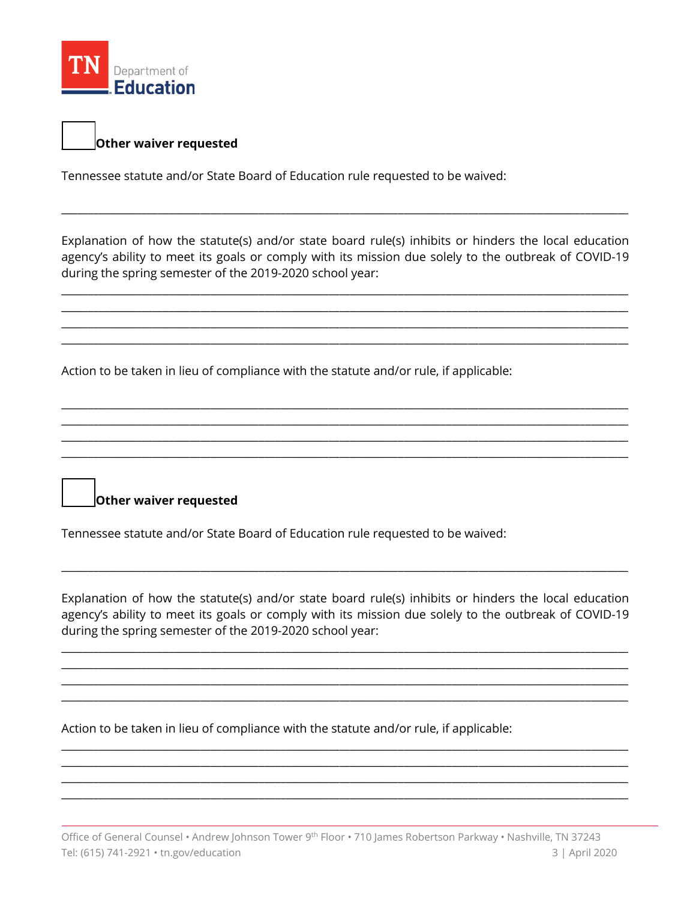

### **\_\_\_\_\_\_\_Other waiver requested**

Tennessee statute and/or State Board of Education rule requested to be waived:

Explanation of how the statute(s) and/or state board rule(s) inhibits or hinders the local education agency's ability to meet its goals or comply with its mission due solely to the outbreak of COVID-19 during the spring semester of the 2019-2020 school year:

\_\_\_\_\_\_\_\_\_\_\_\_\_\_\_\_\_\_\_\_\_\_\_\_\_\_\_\_\_\_\_\_\_\_\_\_\_\_\_\_\_\_\_\_\_\_\_\_\_\_\_\_\_\_\_\_\_\_\_\_\_\_\_\_\_\_\_\_\_\_\_\_\_\_\_\_\_\_\_\_\_\_\_\_\_\_\_\_\_\_\_\_\_\_\_\_\_\_\_\_\_\_\_\_\_\_ \_\_\_\_\_\_\_\_\_\_\_\_\_\_\_\_\_\_\_\_\_\_\_\_\_\_\_\_\_\_\_\_\_\_\_\_\_\_\_\_\_\_\_\_\_\_\_\_\_\_\_\_\_\_\_\_\_\_\_\_\_\_\_\_\_\_\_\_\_\_\_\_\_\_\_\_\_\_\_\_\_\_\_\_\_\_\_\_\_\_\_\_\_\_\_\_\_\_\_\_\_\_\_\_\_\_ \_\_\_\_\_\_\_\_\_\_\_\_\_\_\_\_\_\_\_\_\_\_\_\_\_\_\_\_\_\_\_\_\_\_\_\_\_\_\_\_\_\_\_\_\_\_\_\_\_\_\_\_\_\_\_\_\_\_\_\_\_\_\_\_\_\_\_\_\_\_\_\_\_\_\_\_\_\_\_\_\_\_\_\_\_\_\_\_\_\_\_\_\_\_\_\_\_\_\_\_\_\_\_\_\_\_ \_\_\_\_\_\_\_\_\_\_\_\_\_\_\_\_\_\_\_\_\_\_\_\_\_\_\_\_\_\_\_\_\_\_\_\_\_\_\_\_\_\_\_\_\_\_\_\_\_\_\_\_\_\_\_\_\_\_\_\_\_\_\_\_\_\_\_\_\_\_\_\_\_\_\_\_\_\_\_\_\_\_\_\_\_\_\_\_\_\_\_\_\_\_\_\_\_\_\_\_\_\_\_\_\_\_

\_\_\_\_\_\_\_\_\_\_\_\_\_\_\_\_\_\_\_\_\_\_\_\_\_\_\_\_\_\_\_\_\_\_\_\_\_\_\_\_\_\_\_\_\_\_\_\_\_\_\_\_\_\_\_\_\_\_\_\_\_\_\_\_\_\_\_\_\_\_\_\_\_\_\_\_\_\_\_\_\_\_\_\_\_\_\_\_\_\_\_\_\_\_\_\_\_\_\_\_\_\_\_\_\_\_ \_\_\_\_\_\_\_\_\_\_\_\_\_\_\_\_\_\_\_\_\_\_\_\_\_\_\_\_\_\_\_\_\_\_\_\_\_\_\_\_\_\_\_\_\_\_\_\_\_\_\_\_\_\_\_\_\_\_\_\_\_\_\_\_\_\_\_\_\_\_\_\_\_\_\_\_\_\_\_\_\_\_\_\_\_\_\_\_\_\_\_\_\_\_\_\_\_\_\_\_\_\_\_\_\_\_ \_\_\_\_\_\_\_\_\_\_\_\_\_\_\_\_\_\_\_\_\_\_\_\_\_\_\_\_\_\_\_\_\_\_\_\_\_\_\_\_\_\_\_\_\_\_\_\_\_\_\_\_\_\_\_\_\_\_\_\_\_\_\_\_\_\_\_\_\_\_\_\_\_\_\_\_\_\_\_\_\_\_\_\_\_\_\_\_\_\_\_\_\_\_\_\_\_\_\_\_\_\_\_\_\_\_ \_\_\_\_\_\_\_\_\_\_\_\_\_\_\_\_\_\_\_\_\_\_\_\_\_\_\_\_\_\_\_\_\_\_\_\_\_\_\_\_\_\_\_\_\_\_\_\_\_\_\_\_\_\_\_\_\_\_\_\_\_\_\_\_\_\_\_\_\_\_\_\_\_\_\_\_\_\_\_\_\_\_\_\_\_\_\_\_\_\_\_\_\_\_\_\_\_\_\_\_\_\_\_\_\_\_

\_\_\_\_\_\_\_\_\_\_\_\_\_\_\_\_\_\_\_\_\_\_\_\_\_\_\_\_\_\_\_\_\_\_\_\_\_\_\_\_\_\_\_\_\_\_\_\_\_\_\_\_\_\_\_\_\_\_\_\_\_\_\_\_\_\_\_\_\_\_\_\_\_\_\_\_\_\_\_\_\_\_\_\_\_\_\_\_\_\_\_\_\_\_\_\_\_\_\_\_\_\_\_\_\_\_

Action to be taken in lieu of compliance with the statute and/or rule, if applicable:

**\_\_\_\_\_\_\_Other waiver requested**

Tennessee statute and/or State Board of Education rule requested to be waived:

Explanation of how the statute(s) and/or state board rule(s) inhibits or hinders the local education agency's ability to meet its goals or comply with its mission due solely to the outbreak of COVID-19 during the spring semester of the 2019-2020 school year:

\_\_\_\_\_\_\_\_\_\_\_\_\_\_\_\_\_\_\_\_\_\_\_\_\_\_\_\_\_\_\_\_\_\_\_\_\_\_\_\_\_\_\_\_\_\_\_\_\_\_\_\_\_\_\_\_\_\_\_\_\_\_\_\_\_\_\_\_\_\_\_\_\_\_\_\_\_\_\_\_\_\_\_\_\_\_\_\_\_\_\_\_\_\_\_\_\_\_\_\_\_\_\_\_\_\_ \_\_\_\_\_\_\_\_\_\_\_\_\_\_\_\_\_\_\_\_\_\_\_\_\_\_\_\_\_\_\_\_\_\_\_\_\_\_\_\_\_\_\_\_\_\_\_\_\_\_\_\_\_\_\_\_\_\_\_\_\_\_\_\_\_\_\_\_\_\_\_\_\_\_\_\_\_\_\_\_\_\_\_\_\_\_\_\_\_\_\_\_\_\_\_\_\_\_\_\_\_\_\_\_\_\_ \_\_\_\_\_\_\_\_\_\_\_\_\_\_\_\_\_\_\_\_\_\_\_\_\_\_\_\_\_\_\_\_\_\_\_\_\_\_\_\_\_\_\_\_\_\_\_\_\_\_\_\_\_\_\_\_\_\_\_\_\_\_\_\_\_\_\_\_\_\_\_\_\_\_\_\_\_\_\_\_\_\_\_\_\_\_\_\_\_\_\_\_\_\_\_\_\_\_\_\_\_\_\_\_\_\_ \_\_\_\_\_\_\_\_\_\_\_\_\_\_\_\_\_\_\_\_\_\_\_\_\_\_\_\_\_\_\_\_\_\_\_\_\_\_\_\_\_\_\_\_\_\_\_\_\_\_\_\_\_\_\_\_\_\_\_\_\_\_\_\_\_\_\_\_\_\_\_\_\_\_\_\_\_\_\_\_\_\_\_\_\_\_\_\_\_\_\_\_\_\_\_\_\_\_\_\_\_\_\_\_\_\_

\_\_\_\_\_\_\_\_\_\_\_\_\_\_\_\_\_\_\_\_\_\_\_\_\_\_\_\_\_\_\_\_\_\_\_\_\_\_\_\_\_\_\_\_\_\_\_\_\_\_\_\_\_\_\_\_\_\_\_\_\_\_\_\_\_\_\_\_\_\_\_\_\_\_\_\_\_\_\_\_\_\_\_\_\_\_\_\_\_\_\_\_\_\_\_\_\_\_\_\_\_\_\_\_\_\_ \_\_\_\_\_\_\_\_\_\_\_\_\_\_\_\_\_\_\_\_\_\_\_\_\_\_\_\_\_\_\_\_\_\_\_\_\_\_\_\_\_\_\_\_\_\_\_\_\_\_\_\_\_\_\_\_\_\_\_\_\_\_\_\_\_\_\_\_\_\_\_\_\_\_\_\_\_\_\_\_\_\_\_\_\_\_\_\_\_\_\_\_\_\_\_\_\_\_\_\_\_\_\_\_\_\_ \_\_\_\_\_\_\_\_\_\_\_\_\_\_\_\_\_\_\_\_\_\_\_\_\_\_\_\_\_\_\_\_\_\_\_\_\_\_\_\_\_\_\_\_\_\_\_\_\_\_\_\_\_\_\_\_\_\_\_\_\_\_\_\_\_\_\_\_\_\_\_\_\_\_\_\_\_\_\_\_\_\_\_\_\_\_\_\_\_\_\_\_\_\_\_\_\_\_\_\_\_\_\_\_\_\_ \_\_\_\_\_\_\_\_\_\_\_\_\_\_\_\_\_\_\_\_\_\_\_\_\_\_\_\_\_\_\_\_\_\_\_\_\_\_\_\_\_\_\_\_\_\_\_\_\_\_\_\_\_\_\_\_\_\_\_\_\_\_\_\_\_\_\_\_\_\_\_\_\_\_\_\_\_\_\_\_\_\_\_\_\_\_\_\_\_\_\_\_\_\_\_\_\_\_\_\_\_\_\_\_\_\_

\_\_\_\_\_\_\_\_\_\_\_\_\_\_\_\_\_\_\_\_\_\_\_\_\_\_\_\_\_\_\_\_\_\_\_\_\_\_\_\_\_\_\_\_\_\_\_\_\_\_\_\_\_\_\_\_\_\_\_\_\_\_\_\_\_\_\_\_\_\_\_\_\_\_\_\_\_\_\_\_\_\_\_\_\_\_\_\_\_\_\_\_\_\_\_\_\_\_\_\_\_\_\_\_\_\_

Action to be taken in lieu of compliance with the statute and/or rule, if applicable: